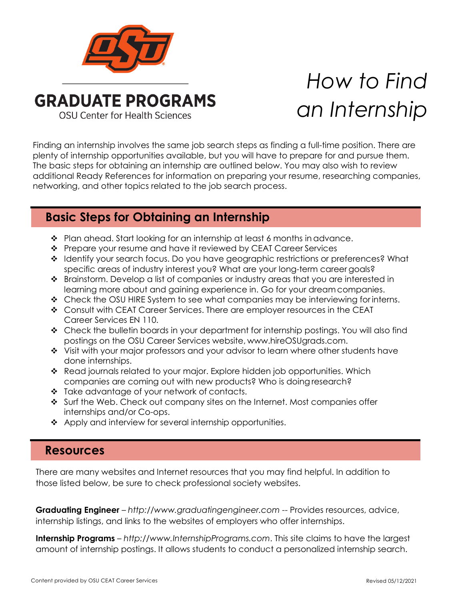

## *How to Find an Internship*

Finding an internship involves the same job search steps as finding a full-time position. There are plenty of internship opportunities available, but you will have to prepare for and pursue them. The basic steps for obtaining an internship are outlined below. You may also wish to review additional Ready References for information on preparing your resume, researching companies, networking, and other topics related to the job search process.

## **Basic Steps for Obtaining an Internship**

- $\div$  Plan ahead. Start looking for an internship at least 6 months in advance.
- Prepare your resume and have it reviewed by CEAT Career Services
- ❖ Identify your search focus. Do you have geographic restrictions or preferences? What specific areas of industry interest you? What are your long-term career goals?
- Brainstorm. Develop a list of companies or industry areas that you are interested in learning more about and gaining experience in. Go for your dream companies.
- Check the OSU HIRE System to see what companies may be interviewing for interns.
- Consult with CEAT Career Services. There are employer resources in the CEAT Career Services EN 110.
- $\triangle$  Check the bulletin boards in your department for internship postings. You will also find postings on the OSU Career Services website, [www.hireOSUgrads.com.](http://www.hireosugrads.com/)
- ◆ Visit with your major professors and your advisor to learn where other students have done internships.
- \* Read journals related to your major. Explore hidden job opportunities. Which companies are coming out with new products? Who is doing research?
- ❖ Take advantage of your network of contacts.
- $\div$  Surf the Web. Check out company sites on the Internet. Most companies offer internships and/or Co-ops.
- $\triangleleft$  Apply and interview for several internship opportunities.

## **Resources**

There are many websites and Internet resources that you may find helpful. In addition to those listed below, be sure to check professional society websites.

**Graduating Engineer** – *[http://www.graduatingengineer.com](http://www.graduatingengineer.com/)* -- Provides resources, advice, internship listings, and links to the websites of employers who offer internships.

**Internship Programs** – *[http://www.InternshipPrograms.com](http://www.internshipprograms.com/)*. This site claims to have the largest amount of internship postings. It allows students to conduct a personalized internship search.